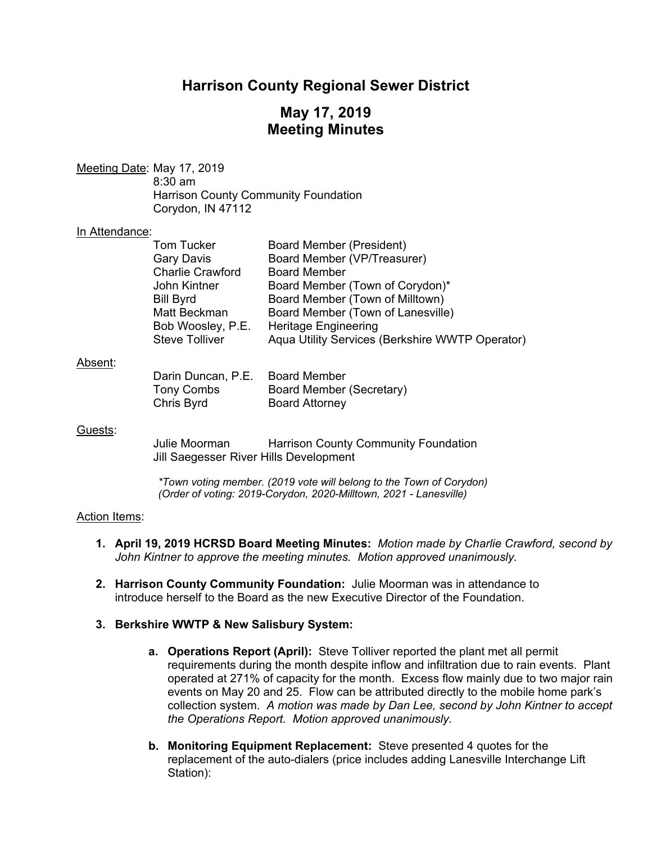# **Harrison County Regional Sewer District**

# **May 17, 2019 Meeting Minutes**

Meeting Date: May 17, 2019 8:30 am Harrison County Community Foundation Corydon, IN 47112

### In Attendance:

| Board Member (President)                        |
|-------------------------------------------------|
| Board Member (VP/Treasurer)                     |
| <b>Board Member</b>                             |
| Board Member (Town of Corydon)*                 |
| Board Member (Town of Milltown)                 |
| Board Member (Town of Lanesville)               |
| <b>Heritage Engineering</b>                     |
| Aqua Utility Services (Berkshire WWTP Operator) |
|                                                 |

### Absent:

| Darin Duncan, P.E. | <b>Board Member</b>      |
|--------------------|--------------------------|
| Tony Combs         | Board Member (Secretary) |
| Chris Byrd         | <b>Board Attorney</b>    |

### Guests:

 Julie Moorman Harrison County Community Foundation Jill Saegesser River Hills Development

*\*Town voting member. (2019 vote will belong to the Town of Corydon) (Order of voting: 2019-Corydon, 2020-Milltown, 2021 - Lanesville)* 

### Action Items:

- **1. April 19, 2019 HCRSD Board Meeting Minutes:** *Motion made by Charlie Crawford, second by John Kintner to approve the meeting minutes. Motion approved unanimously.*
- **2. Harrison County Community Foundation:** Julie Moorman was in attendance to introduce herself to the Board as the new Executive Director of the Foundation.

### **3. Berkshire WWTP & New Salisbury System:**

- **a. Operations Report (April):** Steve Tolliver reported the plant met all permit requirements during the month despite inflow and infiltration due to rain events. Plant operated at 271% of capacity for the month. Excess flow mainly due to two major rain events on May 20 and 25. Flow can be attributed directly to the mobile home park's collection system. *A motion was made by Dan Lee, second by John Kintner to accept the Operations Report. Motion approved unanimously.*
- **b. Monitoring Equipment Replacement:** Steve presented 4 quotes for the replacement of the auto-dialers (price includes adding Lanesville Interchange Lift Station):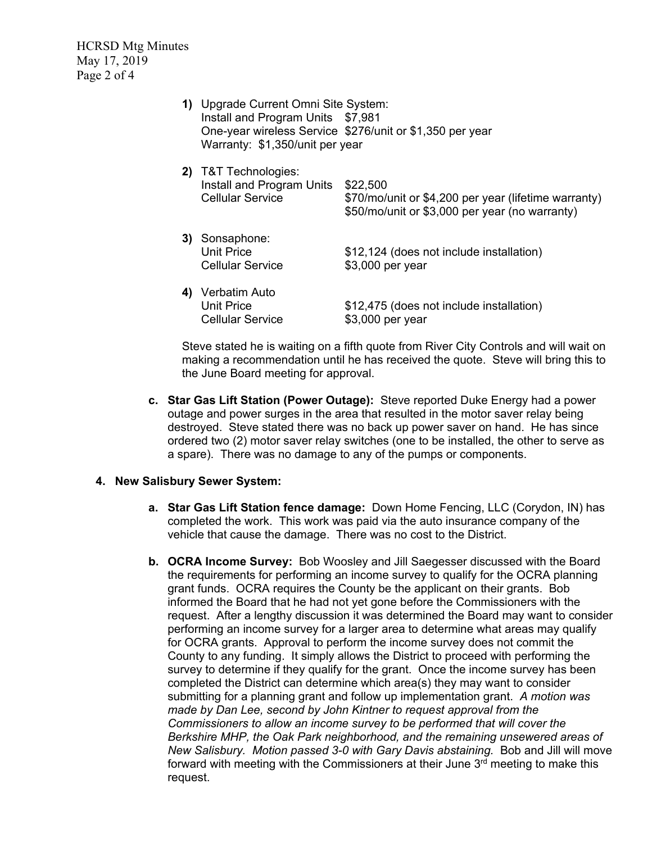HCRSD Mtg Minutes May 17, 2019 Page 2 of 4

> **1)** Upgrade Current Omni Site System: Install and Program Units \$7,981 One-year wireless Service \$276/unit or \$1,350 per year Warranty: \$1,350/unit per year

|    | T&T Technologies:<br>Install and Program Units<br>Cellular Service | \$22,500<br>\$70/mo/unit or \$4,200 per year (lifetime warranty)<br>\$50/mo/unit or \$3,000 per year (no warranty) |
|----|--------------------------------------------------------------------|--------------------------------------------------------------------------------------------------------------------|
| 3) | Sonsaphone:<br><b>Unit Price</b><br>Cellular Service               | \$12,124 (does not include installation)<br>\$3,000 per year                                                       |
|    | Verbatim Auto<br><b>Unit Price</b><br><b>Cellular Service</b>      | \$12,475 (does not include installation)<br>\$3,000 per year                                                       |

Steve stated he is waiting on a fifth quote from River City Controls and will wait on making a recommendation until he has received the quote. Steve will bring this to the June Board meeting for approval.

**c. Star Gas Lift Station (Power Outage):** Steve reported Duke Energy had a power outage and power surges in the area that resulted in the motor saver relay being destroyed. Steve stated there was no back up power saver on hand. He has since ordered two (2) motor saver relay switches (one to be installed, the other to serve as a spare). There was no damage to any of the pumps or components.

## **4. New Salisbury Sewer System:**

- **a. Star Gas Lift Station fence damage:** Down Home Fencing, LLC (Corydon, IN) has completed the work. This work was paid via the auto insurance company of the vehicle that cause the damage. There was no cost to the District.
- **b. OCRA Income Survey:** Bob Woosley and Jill Saegesser discussed with the Board the requirements for performing an income survey to qualify for the OCRA planning grant funds. OCRA requires the County be the applicant on their grants. Bob informed the Board that he had not yet gone before the Commissioners with the request. After a lengthy discussion it was determined the Board may want to consider performing an income survey for a larger area to determine what areas may qualify for OCRA grants. Approval to perform the income survey does not commit the County to any funding. It simply allows the District to proceed with performing the survey to determine if they qualify for the grant. Once the income survey has been completed the District can determine which area(s) they may want to consider submitting for a planning grant and follow up implementation grant. *A motion was made by Dan Lee, second by John Kintner to request approval from the Commissioners to allow an income survey to be performed that will cover the Berkshire MHP, the Oak Park neighborhood, and the remaining unsewered areas of New Salisbury. Motion passed 3-0 with Gary Davis abstaining.* Bob and Jill will move forward with meeting with the Commissioners at their June  $3<sup>rd</sup>$  meeting to make this request.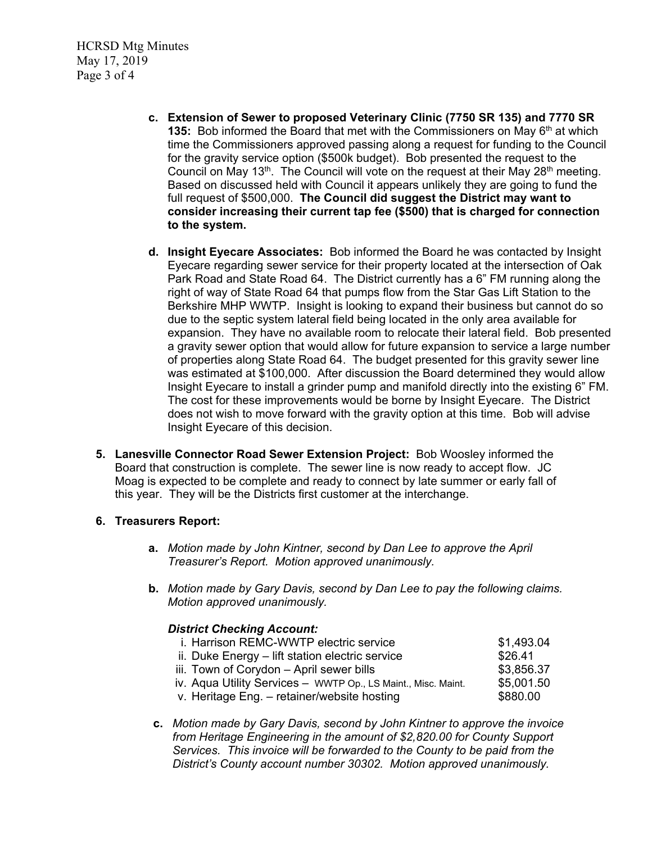HCRSD Mtg Minutes May 17, 2019 Page 3 of 4

- **c. Extension of Sewer to proposed Veterinary Clinic (7750 SR 135) and 7770 SR 135:** Bob informed the Board that met with the Commissioners on May 6<sup>th</sup> at which time the Commissioners approved passing along a request for funding to the Council for the gravity service option (\$500k budget). Bob presented the request to the Council on May 13<sup>th</sup>. The Council will vote on the request at their May 28<sup>th</sup> meeting. Based on discussed held with Council it appears unlikely they are going to fund the full request of \$500,000. **The Council did suggest the District may want to consider increasing their current tap fee (\$500) that is charged for connection to the system.**
- **d. Insight Eyecare Associates:** Bob informed the Board he was contacted by Insight Eyecare regarding sewer service for their property located at the intersection of Oak Park Road and State Road 64. The District currently has a 6" FM running along the right of way of State Road 64 that pumps flow from the Star Gas Lift Station to the Berkshire MHP WWTP. Insight is looking to expand their business but cannot do so due to the septic system lateral field being located in the only area available for expansion. They have no available room to relocate their lateral field. Bob presented a gravity sewer option that would allow for future expansion to service a large number of properties along State Road 64. The budget presented for this gravity sewer line was estimated at \$100,000. After discussion the Board determined they would allow Insight Eyecare to install a grinder pump and manifold directly into the existing 6" FM. The cost for these improvements would be borne by Insight Eyecare. The District does not wish to move forward with the gravity option at this time. Bob will advise Insight Eyecare of this decision.
- **5. Lanesville Connector Road Sewer Extension Project:** Bob Woosley informed the Board that construction is complete. The sewer line is now ready to accept flow. JC Moag is expected to be complete and ready to connect by late summer or early fall of this year. They will be the Districts first customer at the interchange.

# **6. Treasurers Report:**

- **a.** *Motion made by John Kintner, second by Dan Lee to approve the April Treasurer's Report. Motion approved unanimously.*
- **b.** *Motion made by Gary Davis, second by Dan Lee to pay the following claims. Motion approved unanimously.*

## *District Checking Account:*

| i. Harrison REMC-WWTP electric service                        | \$1,493.04 |
|---------------------------------------------------------------|------------|
| ii. Duke Energy – lift station electric service               | \$26.41    |
| iii. Town of Corydon - April sewer bills                      | \$3,856.37 |
| iv. Aqua Utility Services - WWTP Op., LS Maint., Misc. Maint. | \$5,001.50 |
| v. Heritage Eng. - retainer/website hosting                   | \$880.00   |

**c.** *Motion made by Gary Davis, second by John Kintner to approve the invoice from Heritage Engineering in the amount of \$2,820.00 for County Support Services. This invoice will be forwarded to the County to be paid from the District's County account number 30302. Motion approved unanimously.*